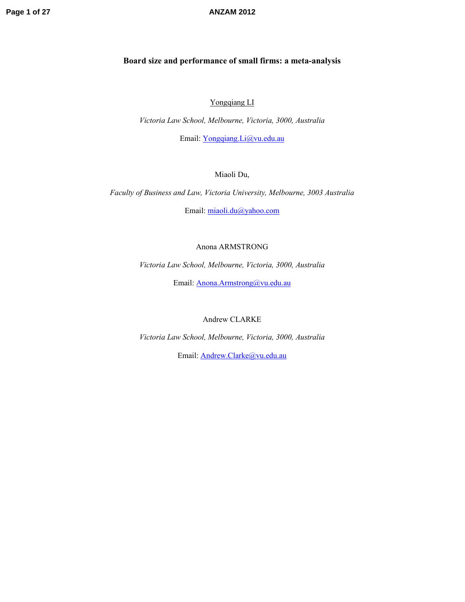# **Page 1 of 27 ANZAM 2012**

# **Board size and performance of small firms: a meta-analysis**

# Yongqiang LI

*Victoria Law School, Melbourne, Victoria, 3000, Australia*  Email: Yongqiang.Li@vu.edu.au

Miaoli Du,

*Faculty of Business and Law, Victoria University, Melbourne, 3003 Australia*  Email: miaoli.du@yahoo.com

Anona ARMSTRONG

*Victoria Law School, Melbourne, Victoria, 3000, Australia* 

Email: **Anona.Armstrong@vu.edu.au** 

Andrew CLARKE

*Victoria Law School, Melbourne, Victoria, 3000, Australia* 

Email: Andrew.Clarke@vu.edu.au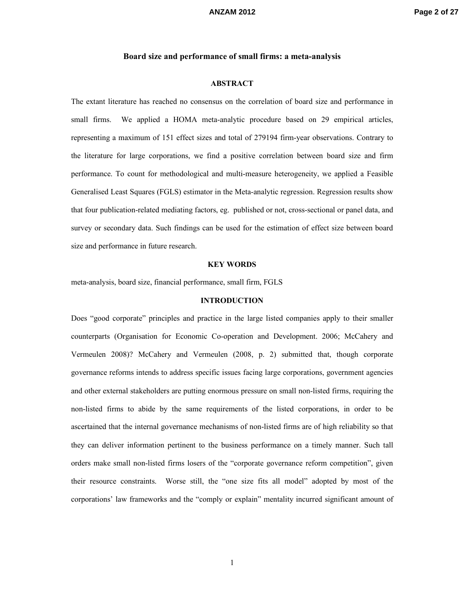### **ANZAM 2012 Page 2 of 27**

#### **Board size and performance of small firms: a meta-analysis**

## **ABSTRACT**

The extant literature has reached no consensus on the correlation of board size and performance in small firms. We applied a HOMA meta-analytic procedure based on 29 empirical articles, representing a maximum of 151 effect sizes and total of 279194 firm-year observations. Contrary to the literature for large corporations, we find a positive correlation between board size and firm performance. To count for methodological and multi-measure heterogeneity, we applied a Feasible Generalised Least Squares (FGLS) estimator in the Meta-analytic regression. Regression results show that four publication-related mediating factors, eg. published or not, cross-sectional or panel data, and survey or secondary data. Such findings can be used for the estimation of effect size between board size and performance in future research.

### **KEY WORDS**

meta-analysis, board size, financial performance, small firm, FGLS

#### **INTRODUCTION**

Does "good corporate" principles and practice in the large listed companies apply to their smaller counterparts (Organisation for Economic Co-operation and Development. 2006; McCahery and Vermeulen 2008)? McCahery and Vermeulen (2008, p. 2) submitted that, though corporate governance reforms intends to address specific issues facing large corporations, government agencies and other external stakeholders are putting enormous pressure on small non-listed firms, requiring the non-listed firms to abide by the same requirements of the listed corporations, in order to be ascertained that the internal governance mechanisms of non-listed firms are of high reliability so that they can deliver information pertinent to the business performance on a timely manner. Such tall orders make small non-listed firms losers of the "corporate governance reform competition", given their resource constraints. Worse still, the "one size fits all model" adopted by most of the corporations' law frameworks and the "comply or explain" mentality incurred significant amount of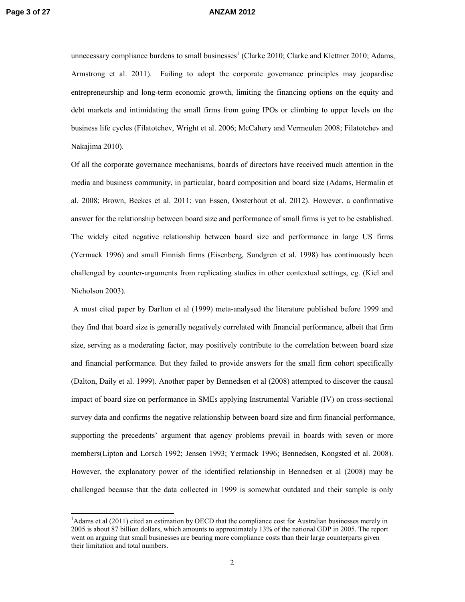-

#### **Page 3 of 27 ANZAM 2012**

unnecessary compliance burdens to small businesses<sup>1</sup> (Clarke 2010; Clarke and Klettner 2010; Adams, Armstrong et al. 2011). Failing to adopt the corporate governance principles may jeopardise entrepreneurship and long-term economic growth, limiting the financing options on the equity and debt markets and intimidating the small firms from going IPOs or climbing to upper levels on the business life cycles (Filatotchev, Wright et al. 2006; McCahery and Vermeulen 2008; Filatotchev and Nakajima 2010).

Of all the corporate governance mechanisms, boards of directors have received much attention in the media and business community, in particular, board composition and board size (Adams, Hermalin et al. 2008; Brown, Beekes et al. 2011; van Essen, Oosterhout et al. 2012). However, a confirmative answer for the relationship between board size and performance of small firms is yet to be established. The widely cited negative relationship between board size and performance in large US firms (Yermack 1996) and small Finnish firms (Eisenberg, Sundgren et al. 1998) has continuously been challenged by counter-arguments from replicating studies in other contextual settings, eg. (Kiel and Nicholson 2003).

 A most cited paper by Darlton et al (1999) meta-analysed the literature published before 1999 and they find that board size is generally negatively correlated with financial performance, albeit that firm size, serving as a moderating factor, may positively contribute to the correlation between board size and financial performance. But they failed to provide answers for the small firm cohort specifically (Dalton, Daily et al. 1999). Another paper by Bennedsen et al (2008) attempted to discover the causal impact of board size on performance in SMEs applying Instrumental Variable (IV) on cross-sectional survey data and confirms the negative relationship between board size and firm financial performance, supporting the precedents' argument that agency problems prevail in boards with seven or more members(Lipton and Lorsch 1992; Jensen 1993; Yermack 1996; Bennedsen, Kongsted et al. 2008). However, the explanatory power of the identified relationship in Bennedsen et al (2008) may be challenged because that the data collected in 1999 is somewhat outdated and their sample is only

<sup>1</sup>Adams et al (2011) cited an estimation by OECD that the compliance cost for Australian businesses merely in 2005 is about 87 billion dollars, which amounts to approximately 13% of the national GDP in 2005. The report went on arguing that small businesses are bearing more compliance costs than their large counterparts given their limitation and total numbers.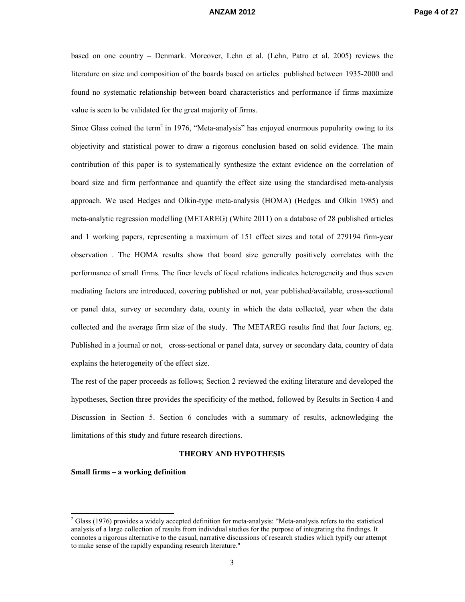based on one country – Denmark. Moreover, Lehn et al. (Lehn, Patro et al. 2005) reviews the literature on size and composition of the boards based on articles published between 1935-2000 and found no systematic relationship between board characteristics and performance if firms maximize value is seen to be validated for the great majority of firms.

Since Glass coined the term<sup>2</sup> in 1976, "Meta-analysis" has enjoyed enormous popularity owing to its objectivity and statistical power to draw a rigorous conclusion based on solid evidence. The main contribution of this paper is to systematically synthesize the extant evidence on the correlation of board size and firm performance and quantify the effect size using the standardised meta-analysis approach. We used Hedges and Olkin-type meta-analysis (HOMA) (Hedges and Olkin 1985) and meta-analytic regression modelling (METAREG) (White 2011) on a database of 28 published articles and 1 working papers, representing a maximum of 151 effect sizes and total of 279194 firm-year observation . The HOMA results show that board size generally positively correlates with the performance of small firms. The finer levels of focal relations indicates heterogeneity and thus seven mediating factors are introduced, covering published or not, year published/available, cross-sectional or panel data, survey or secondary data, county in which the data collected, year when the data collected and the average firm size of the study. The METAREG results find that four factors, eg. Published in a journal or not, cross-sectional or panel data, survey or secondary data, country of data explains the heterogeneity of the effect size.

The rest of the paper proceeds as follows; Section 2 reviewed the exiting literature and developed the hypotheses, Section three provides the specificity of the method, followed by Results in Section 4 and Discussion in Section 5. Section 6 concludes with a summary of results, acknowledging the limitations of this study and future research directions.

### **THEORY AND HYPOTHESIS**

### **Small firms – a working definition**

-

 $2^2$  Glass (1976) provides a widely accepted definition for meta-analysis: "Meta-analysis refers to the statistical analysis of a large collection of results from individual studies for the purpose of integrating the findings. It connotes a rigorous alternative to the casual, narrative discussions of research studies which typify our attempt to make sense of the rapidly expanding research literature."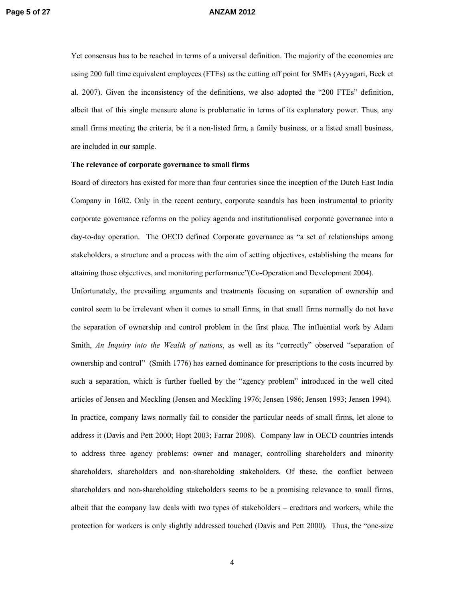Yet consensus has to be reached in terms of a universal definition. The majority of the economies are using 200 full time equivalent employees (FTEs) as the cutting off point for SMEs (Ayyagari, Beck et al. 2007). Given the inconsistency of the definitions, we also adopted the "200 FTEs" definition, albeit that of this single measure alone is problematic in terms of its explanatory power. Thus, any small firms meeting the criteria, be it a non-listed firm, a family business, or a listed small business, are included in our sample.

#### **The relevance of corporate governance to small firms**

Board of directors has existed for more than four centuries since the inception of the Dutch East India Company in 1602. Only in the recent century, corporate scandals has been instrumental to priority corporate governance reforms on the policy agenda and institutionalised corporate governance into a day-to-day operation. The OECD defined Corporate governance as "a set of relationships among stakeholders, a structure and a process with the aim of setting objectives, establishing the means for attaining those objectives, and monitoring performance"(Co-Operation and Development 2004).

Unfortunately, the prevailing arguments and treatments focusing on separation of ownership and control seem to be irrelevant when it comes to small firms, in that small firms normally do not have the separation of ownership and control problem in the first place. The influential work by Adam Smith, *An Inquiry into the Wealth of nations*, as well as its "correctly" observed "separation of ownership and control" (Smith 1776) has earned dominance for prescriptions to the costs incurred by such a separation, which is further fuelled by the "agency problem" introduced in the well cited articles of Jensen and Meckling (Jensen and Meckling 1976; Jensen 1986; Jensen 1993; Jensen 1994). In practice, company laws normally fail to consider the particular needs of small firms, let alone to address it (Davis and Pett 2000; Hopt 2003; Farrar 2008). Company law in OECD countries intends to address three agency problems: owner and manager, controlling shareholders and minority shareholders, shareholders and non-shareholding stakeholders. Of these, the conflict between shareholders and non-shareholding stakeholders seems to be a promising relevance to small firms, albeit that the company law deals with two types of stakeholders – creditors and workers, while the protection for workers is only slightly addressed touched (Davis and Pett 2000). Thus, the "one-size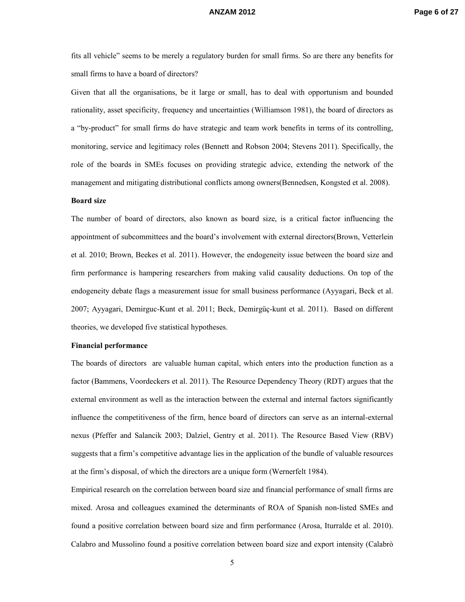fits all vehicle" seems to be merely a regulatory burden for small firms. So are there any benefits for small firms to have a board of directors?

Given that all the organisations, be it large or small, has to deal with opportunism and bounded rationality, asset specificity, frequency and uncertainties (Williamson 1981), the board of directors as a "by-product" for small firms do have strategic and team work benefits in terms of its controlling, monitoring, service and legitimacy roles (Bennett and Robson 2004; Stevens 2011). Specifically, the role of the boards in SMEs focuses on providing strategic advice, extending the network of the management and mitigating distributional conflicts among owners(Bennedsen, Kongsted et al. 2008).

# **Board size**

The number of board of directors, also known as board size, is a critical factor influencing the appointment of subcommittees and the board's involvement with external directors(Brown, Vetterlein et al. 2010; Brown, Beekes et al. 2011). However, the endogeneity issue between the board size and firm performance is hampering researchers from making valid causality deductions. On top of the endogeneity debate flags a measurement issue for small business performance (Ayyagari, Beck et al. 2007; Ayyagari, Demirguc-Kunt et al. 2011; Beck, Demirgüç-kunt et al. 2011). Based on different theories, we developed five statistical hypotheses.

#### **Financial performance**

The boards of directors are valuable human capital, which enters into the production function as a factor (Bammens, Voordeckers et al. 2011). The Resource Dependency Theory (RDT) argues that the external environment as well as the interaction between the external and internal factors significantly influence the competitiveness of the firm, hence board of directors can serve as an internal-external nexus (Pfeffer and Salancik 2003; Dalziel, Gentry et al. 2011). The Resource Based View (RBV) suggests that a firm's competitive advantage lies in the application of the bundle of valuable resources at the firm's disposal, of which the directors are a unique form (Wernerfelt 1984).

Empirical research on the correlation between board size and financial performance of small firms are mixed. Arosa and colleagues examined the determinants of ROA of Spanish non-listed SMEs and found a positive correlation between board size and firm performance (Arosa, Iturralde et al. 2010). Calabro and Mussolino found a positive correlation between board size and export intensity (Calabrò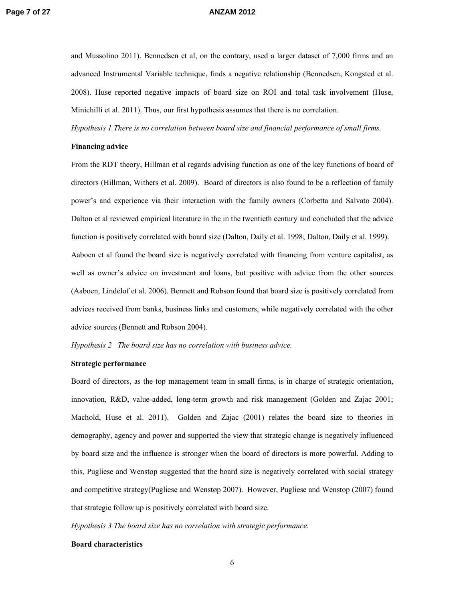and Mussolino 2011). Bennedsen et al, on the contrary, used a larger dataset of 7,000 firms and an advanced Instrumental Variable technique, finds a negative relationship (Bennedsen, Kongsted et al. 2008). Huse reported negative impacts of board size on ROI and total task involvement (Huse, Minichilli et al. 2011). Thus, our first hypothesis assumes that there is no correlation.

*Hypothesis 1 There is no correlation between board size and financial performance of small firms.* 

### **Financing advice**

From the RDT theory, Hillman et al regards advising function as one of the key functions of board of directors (Hillman, Withers et al. 2009). Board of directors is also found to be a reflection of family power's and experience via their interaction with the family owners (Corbetta and Salvato 2004). Dalton et al reviewed empirical literature in the in the twentieth century and concluded that the advice function is positively correlated with board size (Dalton, Daily et al. 1998; Dalton, Daily et al. 1999). Aaboen et al found the board size is negatively correlated with financing from venture capitalist, as well as owner's advice on investment and loans, but positive with advice from the other sources (Aaboen, Lindelof et al. 2006). Bennett and Robson found that board size is positively correlated from advices received from banks, business links and customers, while negatively correlated with the other advice sources (Bennett and Robson 2004).

*Hypothesis 2 The board size has no correlation with business advice.* 

### **Strategic performance**

Board of directors, as the top management team in small firms, is in charge of strategic orientation, innovation, R&D, value-added, long-term growth and risk management (Golden and Zajac 2001; Machold, Huse et al. 2011). Golden and Zajac (2001) relates the board size to theories in demography, agency and power and supported the view that strategic change is negatively influenced by board size and the influence is stronger when the board of directors is more powerful. Adding to this, Pugliese and Wenstop suggested that the board size is negatively correlated with social strategy and competitive strategy(Pugliese and Wenstøp 2007). However, Pugliese and Wenstop (2007) found that strategic follow up is positively correlated with board size.

*Hypothesis 3 The board size has no correlation with strategic performance.* 

### **Board characteristics**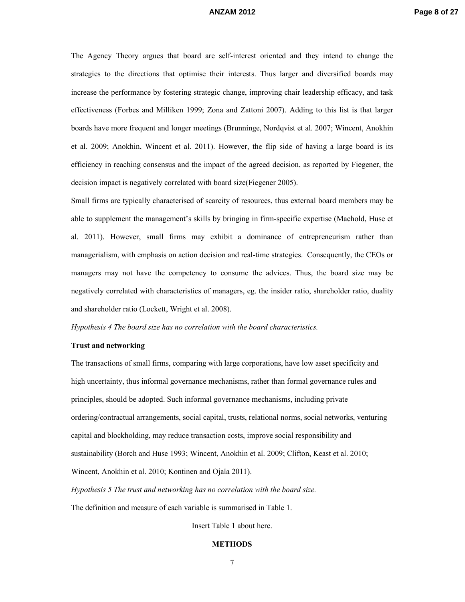The Agency Theory argues that board are self-interest oriented and they intend to change the strategies to the directions that optimise their interests. Thus larger and diversified boards may increase the performance by fostering strategic change, improving chair leadership efficacy, and task effectiveness (Forbes and Milliken 1999; Zona and Zattoni 2007). Adding to this list is that larger boards have more frequent and longer meetings (Brunninge, Nordqvist et al. 2007; Wincent, Anokhin et al. 2009; Anokhin, Wincent et al. 2011). However, the flip side of having a large board is its efficiency in reaching consensus and the impact of the agreed decision, as reported by Fiegener, the decision impact is negatively correlated with board size(Fiegener 2005).

Small firms are typically characterised of scarcity of resources, thus external board members may be able to supplement the management's skills by bringing in firm-specific expertise (Machold, Huse et al. 2011). However, small firms may exhibit a dominance of entrepreneurism rather than managerialism, with emphasis on action decision and real-time strategies. Consequently, the CEOs or managers may not have the competency to consume the advices. Thus, the board size may be negatively correlated with characteristics of managers, eg. the insider ratio, shareholder ratio, duality and shareholder ratio (Lockett, Wright et al. 2008).

*Hypothesis 4 The board size has no correlation with the board characteristics.* 

#### **Trust and networking**

The transactions of small firms, comparing with large corporations, have low asset specificity and high uncertainty, thus informal governance mechanisms, rather than formal governance rules and principles, should be adopted. Such informal governance mechanisms, including private ordering/contractual arrangements, social capital, trusts, relational norms, social networks, venturing capital and blockholding, may reduce transaction costs, improve social responsibility and sustainability (Borch and Huse 1993; Wincent, Anokhin et al. 2009; Clifton, Keast et al. 2010; Wincent, Anokhin et al. 2010; Kontinen and Ojala 2011).

*Hypothesis 5 The trust and networking has no correlation with the board size.* 

The definition and measure of each variable is summarised in Table 1.

Insert Table 1 about here.

#### **METHODS**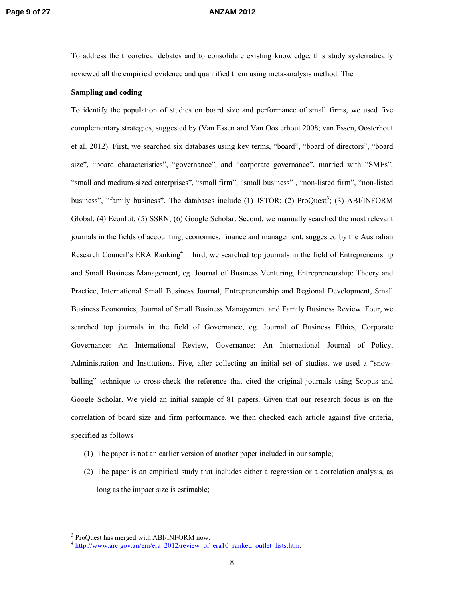To address the theoretical debates and to consolidate existing knowledge, this study systematically reviewed all the empirical evidence and quantified them using meta-analysis method. The

### **Sampling and coding**

To identify the population of studies on board size and performance of small firms, we used five complementary strategies, suggested by (Van Essen and Van Oosterhout 2008; van Essen, Oosterhout et al. 2012). First, we searched six databases using key terms, "board", "board of directors", "board size", "board characteristics", "governance", and "corporate governance", married with "SMEs", "small and medium-sized enterprises", "small firm", "small business" , "non-listed firm", "non-listed business", "family business". The databases include (1) JSTOR; (2) ProQuest<sup>3</sup>; (3) ABI/INFORM Global; (4) EconLit; (5) SSRN; (6) Google Scholar. Second, we manually searched the most relevant journals in the fields of accounting, economics, finance and management, suggested by the Australian Research Council's ERA Ranking<sup>4</sup>. Third, we searched top journals in the field of Entrepreneurship and Small Business Management, eg. Journal of Business Venturing, Entrepreneurship: Theory and Practice, International Small Business Journal, Entrepreneurship and Regional Development, Small Business Economics, Journal of Small Business Management and Family Business Review. Four, we searched top journals in the field of Governance, eg. Journal of Business Ethics, Corporate Governance: An International Review, Governance: An International Journal of Policy, Administration and Institutions. Five, after collecting an initial set of studies, we used a "snowballing" technique to cross-check the reference that cited the original journals using Scopus and Google Scholar. We yield an initial sample of 81 papers. Given that our research focus is on the correlation of board size and firm performance, we then checked each article against five criteria, specified as follows

- (1) The paper is not an earlier version of another paper included in our sample;
- (2) The paper is an empirical study that includes either a regression or a correlation analysis, as long as the impact size is estimable;

 $\overline{a}$ 

<sup>&</sup>lt;sup>3</sup> ProQuest has merged with ABI/INFORM now.

<sup>&</sup>lt;sup>4</sup> http://www.arc.gov.au/era/era\_2012/review\_of\_era10\_ranked\_outlet\_lists.htm.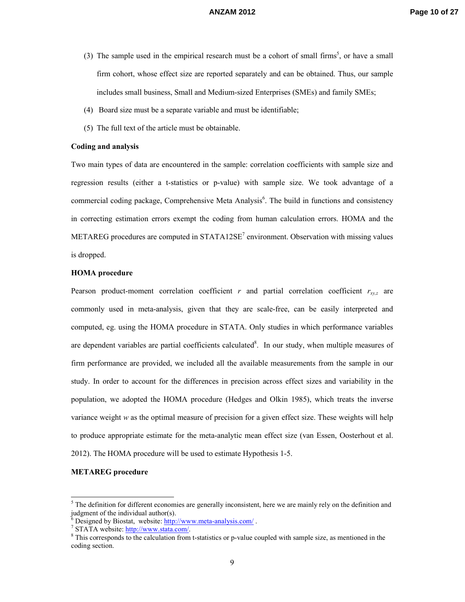- (3) The sample used in the empirical research must be a cohort of small firms<sup>5</sup>, or have a small firm cohort, whose effect size are reported separately and can be obtained. Thus, our sample includes small business, Small and Medium-sized Enterprises (SMEs) and family SMEs;
- (4) Board size must be a separate variable and must be identifiable;
- (5) The full text of the article must be obtainable.

### **Coding and analysis**

Two main types of data are encountered in the sample: correlation coefficients with sample size and regression results (either a t-statistics or p-value) with sample size. We took advantage of a commercial coding package, Comprehensive Meta Analysis<sup>6</sup>. The build in functions and consistency in correcting estimation errors exempt the coding from human calculation errors. HOMA and the METAREG procedures are computed in  $STATA12SE<sup>7</sup>$  environment. Observation with missing values is dropped.

### **HOMA procedure**

Pearson product-moment correlation coefficient  $r$  and partial correlation coefficient  $r_{xy,z}$  are commonly used in meta-analysis, given that they are scale-free, can be easily interpreted and computed, eg. using the HOMA procedure in STATA. Only studies in which performance variables are dependent variables are partial coefficients calculated<sup>8</sup>. In our study, when multiple measures of firm performance are provided, we included all the available measurements from the sample in our study. In order to account for the differences in precision across effect sizes and variability in the population, we adopted the HOMA procedure (Hedges and Olkin 1985), which treats the inverse variance weight *w* as the optimal measure of precision for a given effect size. These weights will help to produce appropriate estimate for the meta-analytic mean effect size (van Essen, Oosterhout et al. 2012). The HOMA procedure will be used to estimate Hypothesis 1-5.

#### **METAREG procedure**

-

<sup>&</sup>lt;sup>5</sup> The definition for different economies are generally inconsistent, here we are mainly rely on the definition and judgment of the individual author(s).

<sup>6</sup> Designed by Biostat, website: http://www.meta-analysis.com/.

<sup>&</sup>lt;sup>7</sup> STATA website: http://www.stata.com/.

<sup>&</sup>lt;sup>8</sup> This corresponds to the calculation from t-statistics or p-value coupled with sample size, as mentioned in the coding section.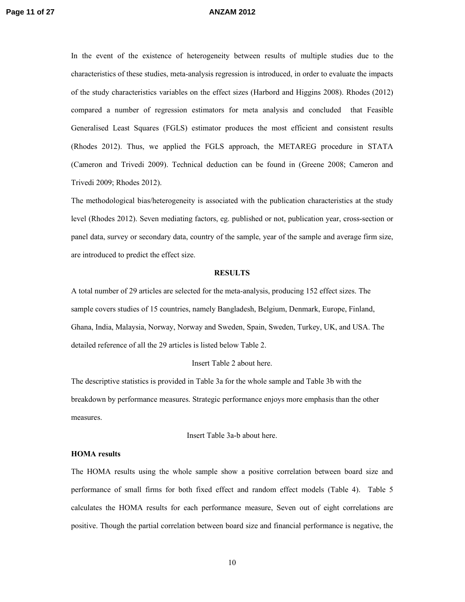In the event of the existence of heterogeneity between results of multiple studies due to the characteristics of these studies, meta-analysis regression is introduced, in order to evaluate the impacts of the study characteristics variables on the effect sizes (Harbord and Higgins 2008). Rhodes (2012) compared a number of regression estimators for meta analysis and concluded that Feasible Generalised Least Squares (FGLS) estimator produces the most efficient and consistent results (Rhodes 2012). Thus, we applied the FGLS approach, the METAREG procedure in STATA (Cameron and Trivedi 2009). Technical deduction can be found in (Greene 2008; Cameron and Trivedi 2009; Rhodes 2012).

The methodological bias/heterogeneity is associated with the publication characteristics at the study level (Rhodes 2012). Seven mediating factors, eg. published or not, publication year, cross-section or panel data, survey or secondary data, country of the sample, year of the sample and average firm size, are introduced to predict the effect size.

### **RESULTS**

A total number of 29 articles are selected for the meta-analysis, producing 152 effect sizes. The sample covers studies of 15 countries, namely Bangladesh, Belgium, Denmark, Europe, Finland, Ghana, India, Malaysia, Norway, Norway and Sweden, Spain, Sweden, Turkey, UK, and USA. The detailed reference of all the 29 articles is listed below Table 2.

### Insert Table 2 about here.

The descriptive statistics is provided in Table 3a for the whole sample and Table 3b with the breakdown by performance measures. Strategic performance enjoys more emphasis than the other measures.

Insert Table 3a-b about here.

# **HOMA results**

The HOMA results using the whole sample show a positive correlation between board size and performance of small firms for both fixed effect and random effect models (Table 4). Table 5 calculates the HOMA results for each performance measure, Seven out of eight correlations are positive. Though the partial correlation between board size and financial performance is negative, the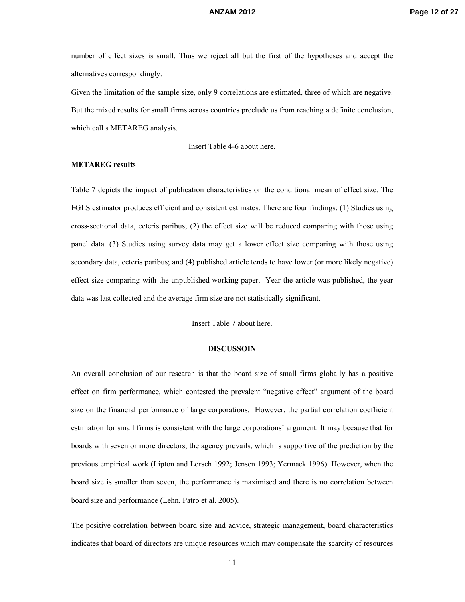number of effect sizes is small. Thus we reject all but the first of the hypotheses and accept the alternatives correspondingly.

Given the limitation of the sample size, only 9 correlations are estimated, three of which are negative. But the mixed results for small firms across countries preclude us from reaching a definite conclusion, which call s METAREG analysis.

Insert Table 4-6 about here.

### **METAREG results**

Table 7 depicts the impact of publication characteristics on the conditional mean of effect size. The FGLS estimator produces efficient and consistent estimates. There are four findings: (1) Studies using cross-sectional data, ceteris paribus; (2) the effect size will be reduced comparing with those using panel data. (3) Studies using survey data may get a lower effect size comparing with those using secondary data, ceteris paribus; and (4) published article tends to have lower (or more likely negative) effect size comparing with the unpublished working paper. Year the article was published, the year data was last collected and the average firm size are not statistically significant.

Insert Table 7 about here.

#### **DISCUSSOIN**

An overall conclusion of our research is that the board size of small firms globally has a positive effect on firm performance, which contested the prevalent "negative effect" argument of the board size on the financial performance of large corporations. However, the partial correlation coefficient estimation for small firms is consistent with the large corporations' argument. It may because that for boards with seven or more directors, the agency prevails, which is supportive of the prediction by the previous empirical work (Lipton and Lorsch 1992; Jensen 1993; Yermack 1996). However, when the board size is smaller than seven, the performance is maximised and there is no correlation between board size and performance (Lehn, Patro et al. 2005).

The positive correlation between board size and advice, strategic management, board characteristics indicates that board of directors are unique resources which may compensate the scarcity of resources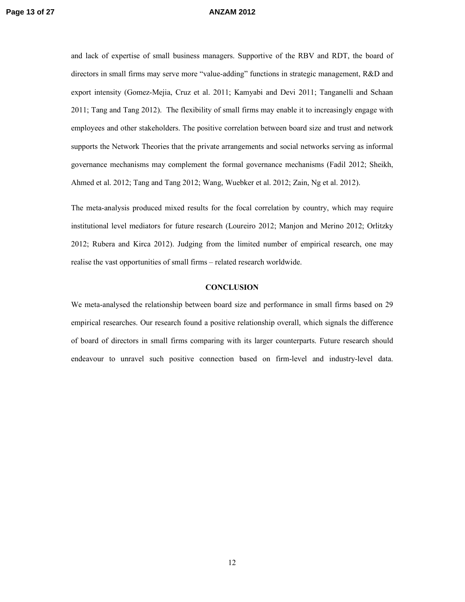and lack of expertise of small business managers. Supportive of the RBV and RDT, the board of directors in small firms may serve more "value-adding" functions in strategic management, R&D and export intensity (Gomez-Mejia, Cruz et al. 2011; Kamyabi and Devi 2011; Tanganelli and Schaan 2011; Tang and Tang 2012). The flexibility of small firms may enable it to increasingly engage with employees and other stakeholders. The positive correlation between board size and trust and network supports the Network Theories that the private arrangements and social networks serving as informal governance mechanisms may complement the formal governance mechanisms (Fadil 2012; Sheikh, Ahmed et al. 2012; Tang and Tang 2012; Wang, Wuebker et al. 2012; Zain, Ng et al. 2012).

The meta-analysis produced mixed results for the focal correlation by country, which may require institutional level mediators for future research (Loureiro 2012; Manjon and Merino 2012; Orlitzky 2012; Rubera and Kirca 2012). Judging from the limited number of empirical research, one may realise the vast opportunities of small firms – related research worldwide.

### **CONCLUSION**

We meta-analysed the relationship between board size and performance in small firms based on 29 empirical researches. Our research found a positive relationship overall, which signals the difference of board of directors in small firms comparing with its larger counterparts. Future research should endeavour to unravel such positive connection based on firm-level and industry-level data.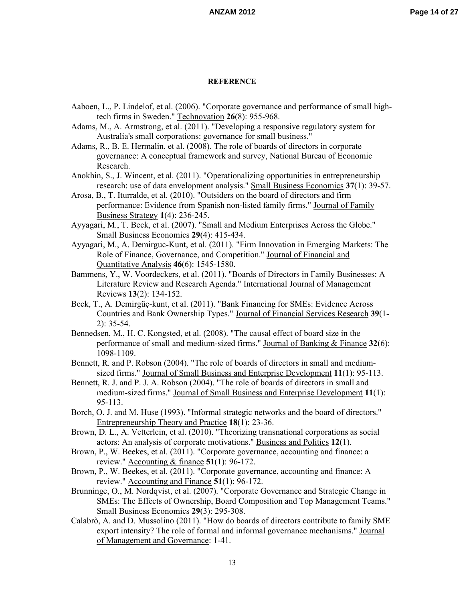### **REFERENCE**

- Aaboen, L., P. Lindelof, et al. (2006). "Corporate governance and performance of small hightech firms in Sweden." Technovation **26**(8): 955-968.
- Adams, M., A. Armstrong, et al. (2011). "Developing a responsive regulatory system for Australia's small corporations: governance for small business."
- Adams, R., B. E. Hermalin, et al. (2008). The role of boards of directors in corporate governance: A conceptual framework and survey, National Bureau of Economic Research.
- Anokhin, S., J. Wincent, et al. (2011). "Operationalizing opportunities in entrepreneurship research: use of data envelopment analysis." Small Business Economics **37**(1): 39-57.
- Arosa, B., T. Iturralde, et al. (2010). "Outsiders on the board of directors and firm performance: Evidence from Spanish non-listed family firms." Journal of Family Business Strategy **1**(4): 236-245.
- Ayyagari, M., T. Beck, et al. (2007). "Small and Medium Enterprises Across the Globe." Small Business Economics **29**(4): 415-434.
- Ayyagari, M., A. Demirguc-Kunt, et al. (2011). "Firm Innovation in Emerging Markets: The Role of Finance, Governance, and Competition." Journal of Financial and Quantitative Analysis **46**(6): 1545-1580.
- Bammens, Y., W. Voordeckers, et al. (2011). "Boards of Directors in Family Businesses: A Literature Review and Research Agenda." International Journal of Management Reviews **13**(2): 134-152.
- Beck, T., A. Demirgüç-kunt, et al. (2011). "Bank Financing for SMEs: Evidence Across Countries and Bank Ownership Types." Journal of Financial Services Research **39**(1- 2): 35-54.
- Bennedsen, M., H. C. Kongsted, et al. (2008). "The causal effect of board size in the performance of small and medium-sized firms." Journal of Banking & Finance **32**(6): 1098-1109.
- Bennett, R. and P. Robson (2004). "The role of boards of directors in small and mediumsized firms." Journal of Small Business and Enterprise Development **11**(1): 95-113.
- Bennett, R. J. and P. J. A. Robson (2004). "The role of boards of directors in small and medium-sized firms." Journal of Small Business and Enterprise Development **11**(1): 95-113.
- Borch, O. J. and M. Huse (1993). "Informal strategic networks and the board of directors." Entrepreneurship Theory and Practice **18**(1): 23-36.
- Brown, D. L., A. Vetterlein, et al. (2010). "Theorizing transnational corporations as social actors: An analysis of corporate motivations." Business and Politics **12**(1).
- Brown, P., W. Beekes, et al. (2011). "Corporate governance, accounting and finance: a review." Accounting & finance **51**(1): 96-172.
- Brown, P., W. Beekes, et al. (2011). "Corporate governance, accounting and finance: A review." Accounting and Finance **51**(1): 96-172.
- Brunninge, O., M. Nordqvist, et al. (2007). "Corporate Governance and Strategic Change in SMEs: The Effects of Ownership, Board Composition and Top Management Teams." Small Business Economics **29**(3): 295-308.
- Calabrò, A. and D. Mussolino (2011). "How do boards of directors contribute to family SME export intensity? The role of formal and informal governance mechanisms." Journal of Management and Governance: 1-41.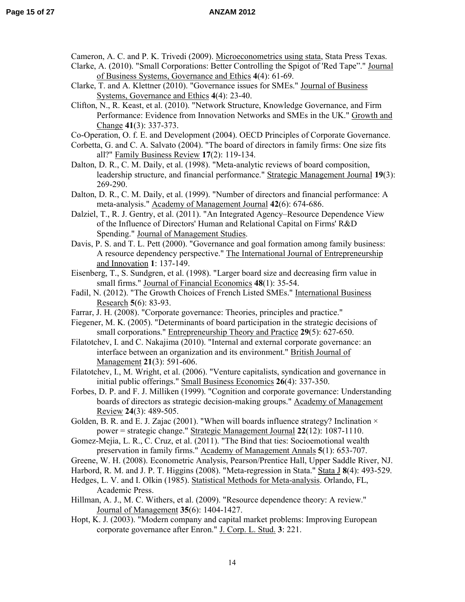Cameron, A. C. and P. K. Trivedi (2009). Microeconometrics using stata, Stata Press Texas.

- Clarke, A. (2010). "Small Corporations: Better Controlling the Spigot of 'Red Tape"." Journal of Business Systems, Governance and Ethics **4**(4): 61-69.
- Clarke, T. and A. Klettner (2010). "Governance issues for SMEs." Journal of Business Systems, Governance and Ethics **4**(4): 23-40.
- Clifton, N., R. Keast, et al. (2010). "Network Structure, Knowledge Governance, and Firm Performance: Evidence from Innovation Networks and SMEs in the UK." Growth and Change **41**(3): 337-373.
- Co-Operation, O. f. E. and Development (2004). OECD Principles of Corporate Governance.
- Corbetta, G. and C. A. Salvato (2004). "The board of directors in family firms: One size fits all?" Family Business Review **17**(2): 119-134.
- Dalton, D. R., C. M. Daily, et al. (1998). "Meta-analytic reviews of board composition, leadership structure, and financial performance." Strategic Management Journal **19**(3): 269-290.
- Dalton, D. R., C. M. Daily, et al. (1999). "Number of directors and financial performance: A meta-analysis." Academy of Management Journal **42**(6): 674-686.
- Dalziel, T., R. J. Gentry, et al. (2011). "An Integrated Agency–Resource Dependence View of the Influence of Directors' Human and Relational Capital on Firms' R&D Spending." Journal of Management Studies.
- Davis, P. S. and T. L. Pett (2000). "Governance and goal formation among family business: A resource dependency perspective." The International Journal of Entrepreneurship and Innovation **1**: 137-149.
- Eisenberg, T., S. Sundgren, et al. (1998). "Larger board size and decreasing firm value in small firms." Journal of Financial Economics **48**(1): 35-54.
- Fadil, N. (2012). "The Growth Choices of French Listed SMEs." International Business Research **5**(6): 83-93.
- Farrar, J. H. (2008). "Corporate governance: Theories, principles and practice."
- Fiegener, M. K. (2005). "Determinants of board participation in the strategic decisions of small corporations." Entrepreneurship Theory and Practice **29**(5): 627-650.
- Filatotchev, I. and C. Nakajima (2010). "Internal and external corporate governance: an interface between an organization and its environment." British Journal of Management **21**(3): 591-606.
- Filatotchev, I., M. Wright, et al. (2006). "Venture capitalists, syndication and governance in initial public offerings." Small Business Economics **26**(4): 337-350.
- Forbes, D. P. and F. J. Milliken (1999). "Cognition and corporate governance: Understanding boards of directors as strategic decision-making groups." Academy of Management Review **24**(3): 489-505.
- Golden, B. R. and E. J. Zajac (2001). "When will boards influence strategy? Inclination  $\times$ power = strategic change." Strategic Management Journal **22**(12): 1087-1110.
- Gomez-Mejia, L. R., C. Cruz, et al. (2011). "The Bind that ties: Socioemotional wealth preservation in family firms." Academy of Management Annals **5**(1): 653-707.
- Greene, W. H. (2008). Econometric Analysis, Pearson/Prentice Hall, Upper Saddle River, NJ.
- Harbord, R. M. and J. P. T. Higgins (2008). "Meta-regression in Stata." Stata J **8**(4): 493-529.
- Hedges, L. V. and I. Olkin (1985). Statistical Methods for Meta-analysis. Orlando, FL, Academic Press.
- Hillman, A. J., M. C. Withers, et al. (2009). "Resource dependence theory: A review." Journal of Management **35**(6): 1404-1427.
- Hopt, K. J. (2003). "Modern company and capital market problems: Improving European corporate governance after Enron." J. Corp. L. Stud. **3**: 221.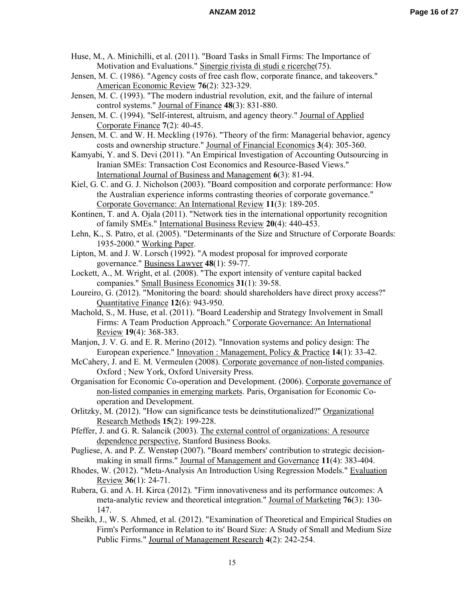- Huse, M., A. Minichilli, et al. (2011). "Board Tasks in Small Firms: The Importance of Motivation and Evaluations." Sinergie rivista di studi e ricerche(75).
- Jensen, M. C. (1986). "Agency costs of free cash flow, corporate finance, and takeovers." American Economic Review **76**(2): 323-329.
- Jensen, M. C. (1993). "The modern industrial revolution, exit, and the failure of internal control systems." Journal of Finance **48**(3): 831-880.
- Jensen, M. C. (1994). "Self-interest, altruism, and agency theory." Journal of Applied Corporate Finance **7**(2): 40-45.
- Jensen, M. C. and W. H. Meckling (1976). "Theory of the firm: Managerial behavior, agency costs and ownership structure." Journal of Financial Economics **3**(4): 305-360.
- Kamyabi, Y. and S. Devi (2011). "An Empirical Investigation of Accounting Outsourcing in Iranian SMEs: Transaction Cost Economics and Resource-Based Views." International Journal of Business and Management **6**(3): 81-94.
- Kiel, G. C. and G. J. Nicholson (2003). "Board composition and corporate performance: How the Australian experience informs contrasting theories of corporate governance." Corporate Governance: An International Review **11**(3): 189-205.
- Kontinen, T. and A. Ojala (2011). "Network ties in the international opportunity recognition of family SMEs." International Business Review **20**(4): 440-453.
- Lehn, K., S. Patro, et al. (2005). "Determinants of the Size and Structure of Corporate Boards: 1935-2000." Working Paper.
- Lipton, M. and J. W. Lorsch (1992). "A modest proposal for improved corporate governance." Business Lawyer **48**(1): 59-77.
- Lockett, A., M. Wright, et al. (2008). "The export intensity of venture capital backed companies." Small Business Economics **31**(1): 39-58.
- Loureiro, G. (2012). "Monitoring the board: should shareholders have direct proxy access?" Quantitative Finance **12**(6): 943-950.
- Machold, S., M. Huse, et al. (2011). "Board Leadership and Strategy Involvement in Small Firms: A Team Production Approach." Corporate Governance: An International Review **19**(4): 368-383.
- Manjon, J. V. G. and E. R. Merino (2012). "Innovation systems and policy design: The European experience." Innovation : Management, Policy & Practice **14**(1): 33-42.
- McCahery, J. and E. M. Vermeulen (2008). Corporate governance of non-listed companies. Oxford ; New York, Oxford University Press.
- Organisation for Economic Co-operation and Development. (2006). Corporate governance of non-listed companies in emerging markets. Paris, Organisation for Economic Cooperation and Development.
- Orlitzky, M. (2012). "How can significance tests be deinstitutionalized?" Organizational Research Methods **15**(2): 199-228.
- Pfeffer, J. and G. R. Salancik (2003). The external control of organizations: A resource dependence perspective, Stanford Business Books.
- Pugliese, A. and P. Z. Wenstøp (2007). "Board members' contribution to strategic decisionmaking in small firms." Journal of Management and Governance **11**(4): 383-404.
- Rhodes, W. (2012). "Meta-Analysis An Introduction Using Regression Models." Evaluation Review **36**(1): 24-71.
- Rubera, G. and A. H. Kirca (2012). "Firm innovativeness and its performance outcomes: A meta-analytic review and theoretical integration." Journal of Marketing **76**(3): 130- 147.
- Sheikh, J., W. S. Ahmed, et al. (2012). "Examination of Theoretical and Empirical Studies on Firm's Performance in Relation to its' Board Size: A Study of Small and Medium Size Public Firms." Journal of Management Research **4**(2): 242-254.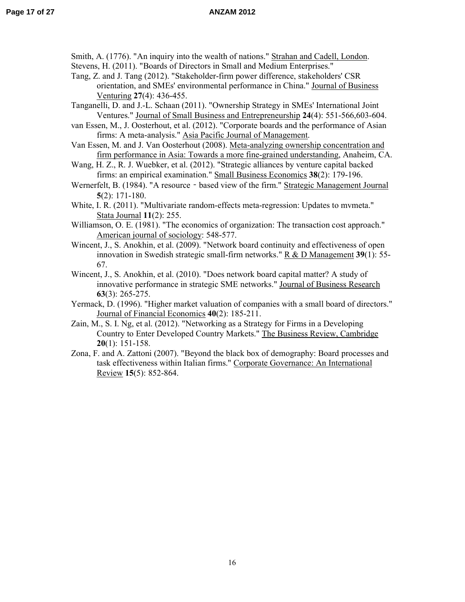Smith, A. (1776). "An inquiry into the wealth of nations." Strahan and Cadell, London. Stevens, H. (2011). "Boards of Directors in Small and Medium Enterprises."

- 
- Tang, Z. and J. Tang (2012). "Stakeholder-firm power difference, stakeholders' CSR orientation, and SMEs' environmental performance in China." Journal of Business Venturing **27**(4): 436-455.
- Tanganelli, D. and J.-L. Schaan (2011). "Ownership Strategy in SMEs' International Joint Ventures." Journal of Small Business and Entrepreneurship **24**(4): 551-566,603-604.
- van Essen, M., J. Oosterhout, et al. (2012). "Corporate boards and the performance of Asian firms: A meta-analysis." Asia Pacific Journal of Management.
- Van Essen, M. and J. Van Oosterhout (2008). Meta-analyzing ownership concentration and firm performance in Asia: Towards a more fine-grained understanding, Anaheim, CA.
- Wang, H. Z., R. J. Wuebker, et al. (2012). "Strategic alliances by venture capital backed firms: an empirical examination." Small Business Economics **38**(2): 179-196.
- Wernerfelt, B. (1984). "A resource based view of the firm." Strategic Management Journal **5**(2): 171-180.
- White, I. R. (2011). "Multivariate random-effects meta-regression: Updates to mvmeta." Stata Journal **11**(2): 255.
- Williamson, O. E. (1981). "The economics of organization: The transaction cost approach." American journal of sociology: 548-577.
- Wincent, J., S. Anokhin, et al. (2009). "Network board continuity and effectiveness of open innovation in Swedish strategic small-firm networks." R & D Management **39**(1): 55- 67.
- Wincent, J., S. Anokhin, et al. (2010). "Does network board capital matter? A study of innovative performance in strategic SME networks." Journal of Business Research **63**(3): 265-275.
- Yermack, D. (1996). "Higher market valuation of companies with a small board of directors." Journal of Financial Economics **40**(2): 185-211.
- Zain, M., S. I. Ng, et al. (2012). "Networking as a Strategy for Firms in a Developing Country to Enter Developed Country Markets." The Business Review, Cambridge **20**(1): 151-158.
- Zona, F. and A. Zattoni (2007). "Beyond the black box of demography: Board processes and task effectiveness within Italian firms." Corporate Governance: An International Review **15**(5): 852-864.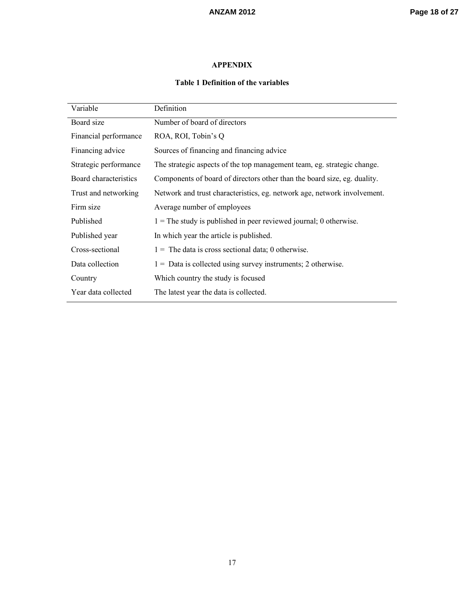# **APPENDIX**

# **Table 1 Definition of the variables**

| Variable              | Definition                                                               |
|-----------------------|--------------------------------------------------------------------------|
| Board size            | Number of board of directors                                             |
| Financial performance | ROA, ROI, Tobin's Q                                                      |
| Financing advice      | Sources of financing and financing advice                                |
| Strategic performance | The strategic aspects of the top management team, eg. strategic change.  |
| Board characteristics | Components of board of directors other than the board size, eg. duality. |
| Trust and networking  | Network and trust characteristics, eg. network age, network involvement. |
| Firm size             | Average number of employees                                              |
| Published             | $1 =$ The study is published in peer reviewed journal; 0 otherwise.      |
| Published year        | In which year the article is published.                                  |
| Cross-sectional       | $1 =$ The data is cross sectional data; 0 otherwise.                     |
| Data collection       | $1 =$ Data is collected using survey instruments; 2 otherwise.           |
| Country               | Which country the study is focused                                       |
| Year data collected   | The latest year the data is collected.                                   |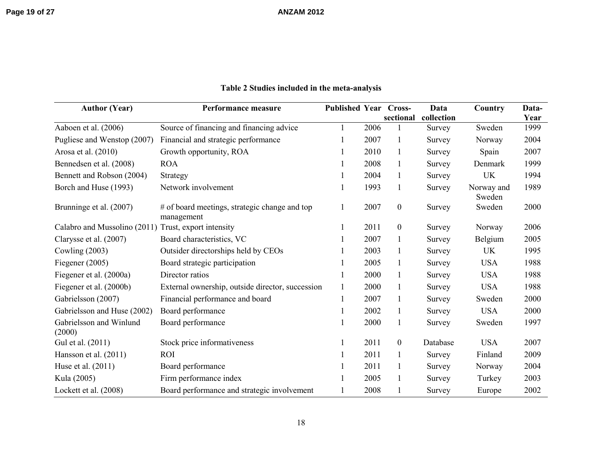| <b>Author (Year)</b>                                 | Performance measure                                         | <b>Published Year Cross-</b> |      |                  | Data       | Country              | Data- |
|------------------------------------------------------|-------------------------------------------------------------|------------------------------|------|------------------|------------|----------------------|-------|
|                                                      |                                                             |                              |      | sectional        | collection |                      | Year  |
| Aaboen et al. (2006)                                 | Source of financing and financing advice                    | 1                            | 2006 |                  | Survey     | Sweden               | 1999  |
| Pugliese and Wenstop (2007)                          | Financial and strategic performance                         |                              | 2007 | 1                | Survey     | Norway               | 2004  |
| Arosa et al. (2010)                                  | Growth opportunity, ROA                                     |                              | 2010 | 1                | Survey     | Spain                | 2007  |
| Bennedsen et al. (2008)                              | <b>ROA</b>                                                  |                              | 2008 | 1                | Survey     | Denmark              | 1999  |
| Bennett and Robson (2004)                            | Strategy                                                    |                              | 2004 | 1                | Survey     | <b>UK</b>            | 1994  |
| Borch and Huse (1993)                                | Network involvement                                         |                              | 1993 | 1                | Survey     | Norway and<br>Sweden | 1989  |
| Brunninge et al. (2007)                              | # of board meetings, strategic change and top<br>management |                              | 2007 | $\boldsymbol{0}$ | Survey     | Sweden               | 2000  |
| Calabro and Mussolino (2011) Trust, export intensity |                                                             |                              | 2011 | $\boldsymbol{0}$ | Survey     | Norway               | 2006  |
| Clarysse et al. (2007)                               | Board characteristics, VC                                   |                              | 2007 | 1                | Survey     | Belgium              | 2005  |
| Cowling $(2003)$                                     | Outsider directorships held by CEOs                         |                              | 2003 | 1                | Survey     | <b>UK</b>            | 1995  |
| Fiegener $(2005)$                                    | Board strategic participation                               |                              | 2005 | 1                | Survey     | <b>USA</b>           | 1988  |
| Fiegener et al. (2000a)                              | Director ratios                                             |                              | 2000 | 1                | Survey     | <b>USA</b>           | 1988  |
| Fiegener et al. (2000b)                              | External ownership, outside director, succession            |                              | 2000 | 1                | Survey     | <b>USA</b>           | 1988  |
| Gabrielsson (2007)                                   | Financial performance and board                             |                              | 2007 | 1                | Survey     | Sweden               | 2000  |
| Gabrielsson and Huse (2002)                          | Board performance                                           |                              | 2002 | 1                | Survey     | <b>USA</b>           | 2000  |
| Gabrielsson and Winlund<br>(2000)                    | Board performance                                           |                              | 2000 | 1                | Survey     | Sweden               | 1997  |
| Gul et al. (2011)                                    | Stock price informativeness                                 |                              | 2011 | $\boldsymbol{0}$ | Database   | <b>USA</b>           | 2007  |
| Hansson et al. (2011)                                | <b>ROI</b>                                                  |                              | 2011 | 1                | Survey     | Finland              | 2009  |
| Huse et al. (2011)                                   | Board performance                                           |                              | 2011 | $\mathbf{1}$     | Survey     | Norway               | 2004  |
| Kula (2005)                                          | Firm performance index                                      |                              | 2005 | 1                | Survey     | Turkey               | 2003  |
| Lockett et al. (2008)                                | Board performance and strategic involvement                 |                              | 2008 |                  | Survey     | Europe               | 2002  |

# **Table 2 Studies included in the meta-analysis**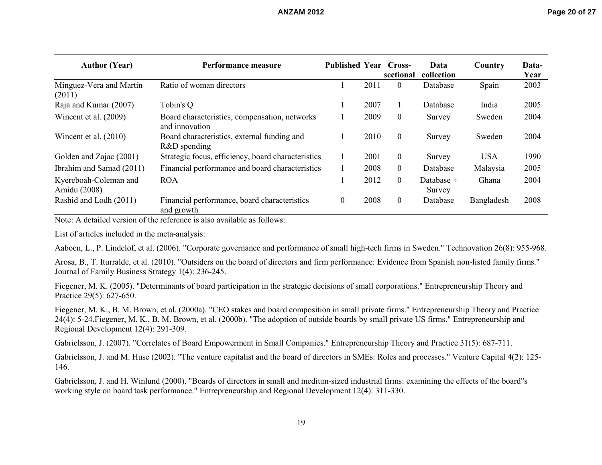| <b>Author (Year)</b>                  | Performance measure                                             | <b>Published Year Cross-</b> |      | sectional        | Data<br>collection     | Country    | Data-<br>Year |
|---------------------------------------|-----------------------------------------------------------------|------------------------------|------|------------------|------------------------|------------|---------------|
| Minguez-Vera and Martin<br>(2011)     | Ratio of woman directors                                        |                              | 2011 | $\overline{0}$   | Database               | Spain      | 2003          |
| Raja and Kumar (2007)                 | Tobin's Q                                                       |                              | 2007 |                  | Database               | India      | 2005          |
| Wincent et al. (2009)                 | Board characteristics, compensation, networks<br>and innovation |                              | 2009 | $\boldsymbol{0}$ | Survey                 | Sweden     | 2004          |
| Wincent et al. $(2010)$               | Board characteristics, external funding and<br>$R&D$ spending   |                              | 2010 | $\boldsymbol{0}$ | Survey                 | Sweden     | 2004          |
| Golden and Zajac (2001)               | Strategic focus, efficiency, board characteristics              |                              | 2001 | $\boldsymbol{0}$ | Survey                 | <b>USA</b> | 1990          |
| Ibrahim and Samad (2011)              | Financial performance and board characteristics                 |                              | 2008 | $\mathbf{0}$     | Database               | Malaysia   | 2005          |
| Kyereboah-Coleman and<br>Amidu (2008) | <b>ROA</b>                                                      |                              | 2012 | $\mathbf{0}$     | Database $+$<br>Survey | Ghana      | 2004          |
| Rashid and Lodh (2011)                | Financial performance, board characteristics<br>and growth      | $\theta$                     | 2008 | $\boldsymbol{0}$ | Database               | Bangladesh | 2008          |

Note: A detailed version of the reference is also available as follows:

List of articles included in the meta-analysis:

Aaboen, L., P. Lindelof, et al. (2006). "Corporate governance and performance of small high-tech firms in Sweden." Technovation 26(8): 955-968.

Arosa, B., T. Iturralde, et al. (2010). "Outsiders on the board of directors and firm performance: Evidence from Spanish non-listed family firms." Journal of Family Business Strategy 1(4): 236-245.

Fiegener, M. K. (2005). "Determinants of board participation in the strategic decisions of small corporations." Entrepreneurship Theory and Practice 29(5): 627-650.

Fiegener, M. K., B. M. Brown, et al. (2000a). "CEO stakes and board composition in small private firms." Entrepreneurship Theory and Practice 24(4): 5-24.Fiegener, M. K., B. M. Brown, et al. (2000b). "The adoption of outside boards by small private US firms." Entrepreneurship and Regional Development 12(4): 291-309.

Gabrielsson, J. (2007). "Correlates of Board Empowerment in Small Companies." Entrepreneurship Theory and Practice 31(5): 687-711.

Gabrielsson, J. and M. Huse (2002). "The venture capitalist and the board of directors in SMEs: Roles and processes." Venture Capital 4(2): 125-146.

Gabrielsson, J. and H. Winlund (2000). "Boards of directors in small and medium-sized industrial firms: examining the effects of the board"s working style on board task performance." Entrepreneurship and Regional Development 12(4): 311-330.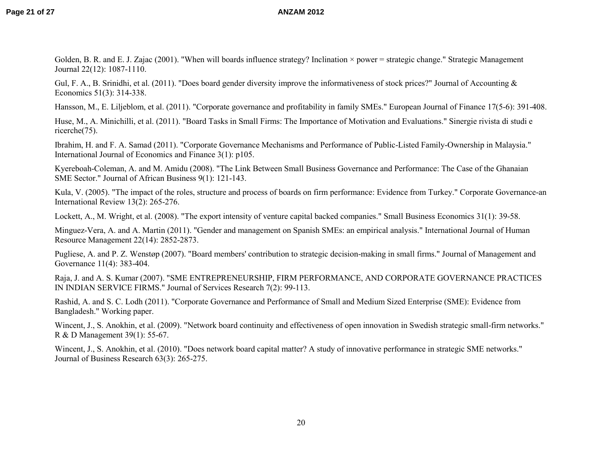# **ANZAM 2012**

Golden, B. R. and E. J. Zajac (2001). "When will boards influence strategy? Inclination  $\times$  power = strategic change." Strategic Management Journal 22(12): 1087-1110.

Gul, F. A., B. Srinidhi, et al. (2011). "Does board gender diversity improve the informativeness of stock prices?" Journal of Accounting & Economics 51(3): 314-338.

Hansson, M., E. Liljeblom, et al. (2011). "Corporate governance and profitability in family SMEs." European Journal of Finance 17(5-6): 391-408.

Huse, M., A. Minichilli, et al. (2011). "Board Tasks in Small Firms: The Importance of Motivation and Evaluations." Sinergie rivista di studi e ricerche(75).

Ibrahim, H. and F. A. Samad (2011). "Corporate Governance Mechanisms and Performance of Public-Listed Family-Ownership in Malaysia." International Journal of Economics and Finance 3(1): p105.

Kyereboah-Coleman, A. and M. Amidu (2008). "The Link Between Small Business Governance and Performance: The Case of the Ghanaian SME Sector." Journal of African Business 9(1): 121-143.

Kula, V. (2005). "The impact of the roles, structure and process of boards on firm performance: Evidence from Turkey." Corporate Governance-an International Review 13(2): 265-276.

Lockett, A., M. Wright, et al. (2008). "The export intensity of venture capital backed companies." Small Business Economics 31(1): 39-58.

Minguez-Vera, A. and A. Martin (2011). "Gender and management on Spanish SMEs: an empirical analysis." International Journal of Human Resource Management 22(14): 2852-2873.

Pugliese, A. and P. Z. Wenstøp (2007). "Board members' contribution to strategic decision-making in small firms." Journal of Management and Governance 11(4): 383-404.

Raja, J. and A. S. Kumar (2007). "SME ENTREPRENEURSHIP, FIRM PERFORMANCE, AND CORPORATE GOVERNANCE PRACTICES IN INDIAN SERVICE FIRMS." Journal of Services Research 7(2): 99-113.

Rashid, A. and S. C. Lodh (2011). "Corporate Governance and Performance of Small and Medium Sized Enterprise (SME): Evidence from Bangladesh." Working paper.

Wincent, J., S. Anokhin, et al. (2009). "Network board continuity and effectiveness of open innovation in Swedish strategic small-firm networks." R & D Management 39(1): 55-67.

Wincent, J., S. Anokhin, et al. (2010). "Does network board capital matter? A study of innovative performance in strategic SME networks." Journal of Business Research 63(3): 265-275.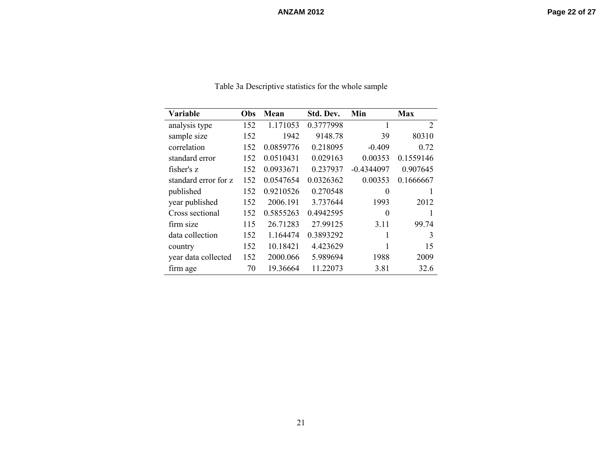| Variable             | <b>Obs</b> | Mean      | Std. Dev. | Min          | Max       |
|----------------------|------------|-----------|-----------|--------------|-----------|
| analysis type        | 152        | 1.171053  | 0.3777998 |              | 2         |
| sample size          | 152        | 1942      | 9148.78   | 39           | 80310     |
| correlation          | 152        | 0.0859776 | 0.218095  | $-0.409$     | 0.72      |
| standard error       | 152        | 0.0510431 | 0.029163  | 0.00353      | 0.1559146 |
| fisher's z           | 152        | 0.0933671 | 0.237937  | $-0.4344097$ | 0.907645  |
| standard error for z | 152        | 0.0547654 | 0.0326362 | 0.00353      | 0.1666667 |
| published            | 152        | 0.9210526 | 0.270548  | $\theta$     |           |
| year published       | 152        | 2006.191  | 3.737644  | 1993         | 2012      |
| Cross sectional      | 152        | 0.5855263 | 0.4942595 | $\theta$     |           |
| firm size            | 115        | 26.71283  | 27.99125  | 3.11         | 99.74     |
| data collection      | 152        | 1.164474  | 0.3893292 |              | 3         |
| country              | 152        | 10.18421  | 4.423629  |              | 15        |
| year data collected  | 152        | 2000.066  | 5.989694  | 1988         | 2009      |
| firm age             | 70         | 19.36664  | 11.22073  | 3.81         | 32.6      |

Table 3a Descriptive statistics for the whole sample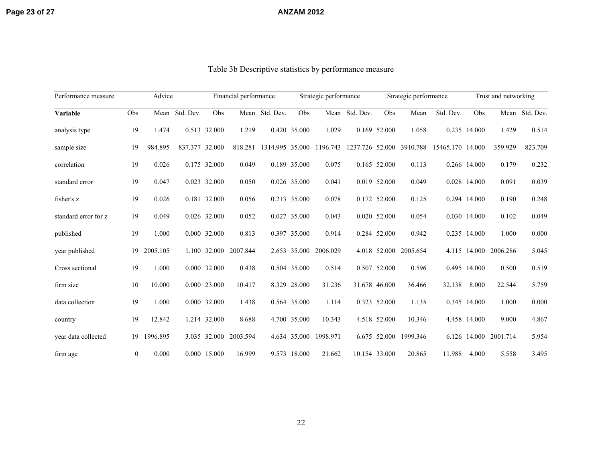# **ANZAM 2012**

| Performance measure  | Advice          |             |                | Financial performance |          |                |              | Strategic performance |                |               | Strategic performance |                                                                            | Trust and networking |                       |                |
|----------------------|-----------------|-------------|----------------|-----------------------|----------|----------------|--------------|-----------------------|----------------|---------------|-----------------------|----------------------------------------------------------------------------|----------------------|-----------------------|----------------|
| Variable             | Obs             |             | Mean Std. Dev. | <b>Obs</b>            |          | Mean Std. Dev. | Obs          |                       | Mean Std. Dev. | Obs           | Mean                  | Std. Dev.                                                                  | Obs                  |                       | Mean Std. Dev. |
| analysis type        | $\overline{19}$ | 1.474       |                | 0.513 32.000          | 1.219    |                | 0.420 35.000 | 1.029                 |                | 0.169 52.000  | 1.058                 |                                                                            | 0.235 14.000         | 1.429                 | 0.514          |
| sample size          | 19              | 984.895     | 837.377 32.000 |                       |          |                |              |                       |                |               |                       | 818.281 1314.995 35.000 1196.743 1237.726 52.000 3910.788 15465.170 14.000 |                      | 359.929               | 823.709        |
| correlation          | 19              | 0.026       |                | 0.175 32.000          | 0.049    |                | 0.189 35.000 | 0.075                 |                | 0.165 52.000  | 0.113                 |                                                                            | 0.266 14.000         | 0.179                 | 0.232          |
| standard error       | 19              | 0.047       |                | 0.023 32.000          | 0.050    |                | 0.026 35.000 | 0.041                 |                | 0.019 52.000  | 0.049                 |                                                                            | 0.028 14.000         | 0.091                 | 0.039          |
| fisher's z           | 19              | 0.026       |                | 0.181 32.000          | 0.056    |                | 0.213 35.000 | 0.078                 |                | 0.172 52.000  | 0.125                 |                                                                            | 0.294 14.000         | 0.190                 | 0.248          |
| standard error for z | 19              | 0.049       |                | 0.026 32.000          | 0.052    |                | 0.027 35.000 | 0.043                 |                | 0.020 52.000  | 0.054                 |                                                                            | 0.030 14.000         | 0.102                 | 0.049          |
| published            | 19              | 1.000       |                | 0.000 32.000          | 0.813    |                | 0.397 35.000 | 0.914                 |                | 0.284 52.000  | 0.942                 |                                                                            | 0.235 14.000         | 1.000                 | 0.000          |
| year published       |                 | 19 2005.105 |                | 1.100 32.000          | 2007.844 |                | 2.653 35.000 | 2006.029              |                | 4.018 52.000  | 2005.654              |                                                                            |                      | 4.115 14.000 2006.286 | 5.045          |
| Cross sectional      | 19              | 1.000       |                | 0.000 32.000          | 0.438    |                | 0.504 35.000 | 0.514                 |                | 0.507 52.000  | 0.596                 |                                                                            | 0.495 14.000         | 0.500                 | 0.519          |
| firm size            | 10              | 10.000      |                | 0.000 23.000          | 10.417   |                | 8.329 28.000 | 31.236                |                | 31.678 46.000 | 36.466                | 32.138                                                                     | 8.000                | 22.544                | 5.759          |
| data collection      | 19              | 1.000       |                | 0.000 32.000          | 1.438    |                | 0.564 35.000 | 1.114                 |                | 0.323 52.000  | 1.135                 |                                                                            | 0.345 14.000         | 1.000                 | 0.000          |
| country              | 19              | 12.842      |                | 1.214 32.000          | 8.688    |                | 4.700 35.000 | 10.343                |                | 4.518 52.000  | 10.346                |                                                                            | 4.458 14.000         | 9.000                 | 4.867          |
| year data collected  |                 | 19 1996.895 |                | 3.035 32.000          | 2003.594 |                | 4.634 35.000 | 1998.971              |                | 6.675 52.000  | 1999.346              |                                                                            | 6.126 14.000         | 2001.714              | 5.954          |
| firm age             | $\mathbf{0}$    | 0.000       |                | 0.000 15.000          | 16.999   |                | 9.573 18.000 | 21.662                |                | 10.154 33.000 | 20.865                | 11.988                                                                     | 4.000                | 5.558                 | 3.495          |

Table 3b Descriptive statistics by performance measure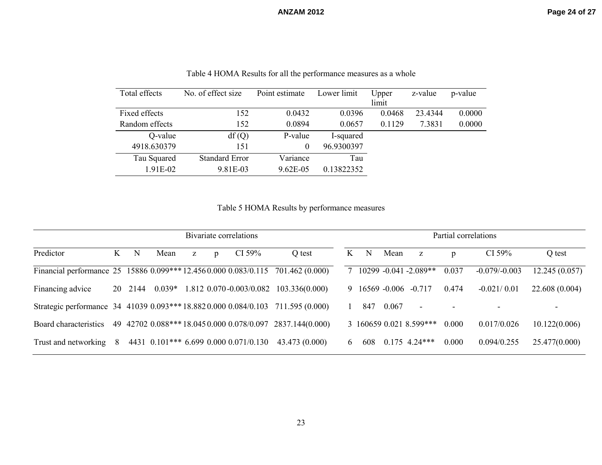# **ANZAM 2012**

| Total effects  | No. of effect size.   | Point estimate | Lower limit | Upper<br>limit | z-value | p-value |
|----------------|-----------------------|----------------|-------------|----------------|---------|---------|
| Fixed effects  | 152                   | 0.0432         | 0.0396      | 0.0468         | 23.4344 | 0.0000  |
| Random effects | 152                   | 0.0894         | 0.0657      | 0.1129         | 7.3831  | 0.0000  |
| Q-value        | df(Q)                 | P-value        | I-squared   |                |         |         |
| 4918.630379    | 151                   | 0              | 96.9300397  |                |         |         |
| Tau Squared    | <b>Standard Error</b> | Variance       | Tau         |                |         |         |
| 1.91E-02       | 9.81E-03              | 9.62E-05       | 0.13822352  |                |         |         |

# Table 4 HOMA Results for all the performance measures as a whole

# Table 5 HOMA Results by performance measures

| Bivariate correlations                                                           |                   |      |          |         |              |                                       | Partial correlations                                       |   |     |       |                                             |              |                 |                |
|----------------------------------------------------------------------------------|-------------------|------|----------|---------|--------------|---------------------------------------|------------------------------------------------------------|---|-----|-------|---------------------------------------------|--------------|-----------------|----------------|
| Predictor                                                                        | $K_{\mathcal{I}}$ | N    | Mean     | $Z_{-}$ | $\mathbf{D}$ | CI 59%                                | Q test                                                     | K | N   | Mean  | z                                           | $\mathbf{D}$ | CI 59%          | Q test         |
| Financial performance 25 15886 0.099*** 12.456 0.000 0.083/0.115 701.462 (0.000) |                   |      |          |         |              |                                       |                                                            |   |     |       | $7 \quad 10299 \quad -0.041 \quad -2.089**$ | 0.037        | $-0.079/-0.003$ | 12.245(0.057)  |
| Financing advice                                                                 | 20                | 2144 | $0.039*$ |         |              |                                       | $1.812$ 0.070-0.003/0.082 103.336(0.000)                   |   |     |       | $9\quad 16569\ -0.006\ -0.717$              | 0.474        | $-0.021/0.01$   | 22.608 (0.004) |
| Strategic performance 34 41039 0.093***18.882 0.000 0.084/0.103 711.595 (0.000)  |                   |      |          |         |              |                                       |                                                            |   | 847 | 0.067 | $\overline{\phantom{a}}$                    |              |                 |                |
| Board characteristics                                                            |                   |      |          |         |              |                                       | 49 42702 0.088*** 18.045 0.000 0.078/0.097 2837.144(0.000) |   |     |       | 3 160659 0.021 8.599***                     | 0.000        | 0.017/0.026     | 10.122(0.006)  |
| Trust and networking                                                             | 8                 |      |          |         |              | 4431 0.101*** 6.699 0.000 0.071/0.130 | 43.473 (0.000)                                             | 6 | 608 |       | $0.175$ 4 24***                             | 0.000        | 0.094/0.255     | 25.477(0.000)  |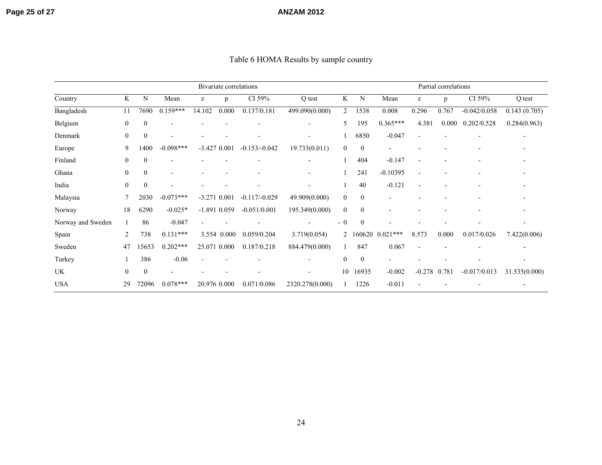| Bivariate correlations |                |                  |                          |                                                       |                |                 |                          |                | Partial correlations |            |                                                       |       |                |                |  |  |
|------------------------|----------------|------------------|--------------------------|-------------------------------------------------------|----------------|-----------------|--------------------------|----------------|----------------------|------------|-------------------------------------------------------|-------|----------------|----------------|--|--|
| Country                | K              | ${\bf N}$        | Mean                     | $\mathbf{Z}% ^{T}=\mathbf{Z}^{T}\times\mathbf{Z}^{T}$ | p              | CI 59%          | Q test                   | K              | N                    | Mean       | $\mathbf{Z}% ^{T}=\mathbf{Z}^{T}\times\mathbf{Z}^{T}$ | p     | CI 59%         | Q test         |  |  |
| Bangladesh             | 11             | 7690             | $0.159***$               | 14.102                                                | 0.000          | 0.137/0.181     | 499.090(0.000)           | 2              | 1538                 | 0.008      | 0.296                                                 | 0.767 | $-0.042/0.058$ | 0.143(0.705)   |  |  |
| Belgium                | $\mathbf{0}$   | $\boldsymbol{0}$ | $\overline{\phantom{0}}$ |                                                       |                |                 |                          | 5              | 195                  | $0.365***$ | 4.381                                                 | 0.000 | 0.202/0.528    | 0.284(0.963)   |  |  |
| Denmark                | $\overline{0}$ | $\boldsymbol{0}$ |                          |                                                       |                |                 |                          |                | 6850                 | $-0.047$   |                                                       |       |                | $\overline{a}$ |  |  |
| Europe                 | 9              | 1400             | $-0.098***$              | $-3.427$                                              | 0.001          | $-0.153/-0.042$ | 19.733(0.011)            | $\overline{0}$ | $\boldsymbol{0}$     |            |                                                       |       |                |                |  |  |
| Finland                | $\overline{0}$ | $\boldsymbol{0}$ |                          |                                                       |                |                 |                          |                | 404                  | $-0.147$   |                                                       |       |                |                |  |  |
| Ghana                  | $\overline{0}$ | $\boldsymbol{0}$ |                          |                                                       |                |                 |                          |                | 241                  | $-0.10395$ |                                                       |       |                |                |  |  |
| India                  | $\overline{0}$ | $\boldsymbol{0}$ | $\overline{\phantom{a}}$ |                                                       |                |                 | $\overline{\phantom{0}}$ |                | 40                   | $-0.121$   |                                                       |       |                |                |  |  |
| Malaysia               | 7              | 2030             | $-0.073***$              | $-3.271$ 0.001                                        |                | $-0.117/-0.029$ | 49.909(0.000)            | $\overline{0}$ | $\mathbf{0}$         |            |                                                       |       |                |                |  |  |
| Norway                 | 18             | 6290             | $-0.025*$                |                                                       | $-1.891$ 0.059 | $-0.051/0.001$  | 195.349(0.000)           | $\mathbf{0}$   | $\mathbf{0}$         |            |                                                       |       |                |                |  |  |
| Norway and Sweden      |                | 86               | $-0.047$                 |                                                       |                |                 | $\overline{\phantom{0}}$ | $-0$           | $\mathbf{0}$         |            |                                                       |       |                | $\overline{a}$ |  |  |
| Spain                  | $\overline{2}$ | 738              | $0.131***$               |                                                       | 3.554 0.000    | 0.059/0.204     | 3.719(0.054)             |                | 160620               | $0.021***$ | 8.573                                                 | 0.000 | 0.017/0.026    | 7.422(0.006)   |  |  |
| Sweden                 | 47             | 15653            | $0.202***$               | 25.071 0.000                                          |                | 0.187/0.218     | 884.479(0.000)           |                | 847                  | 0.067      |                                                       |       |                |                |  |  |
| Turkey                 |                | 386              | $-0.06$                  |                                                       |                |                 |                          | $\overline{0}$ | $\mathbf{0}$         |            |                                                       |       |                |                |  |  |
| UK                     | $\mathbf{0}$   | $\boldsymbol{0}$ | $\overline{\phantom{0}}$ |                                                       |                |                 | $\overline{\phantom{a}}$ | 10             | 16935                | $-0.002$   | $-0.278$                                              | 0.781 | $-0.017/0.013$ | 31.535(0.000)  |  |  |
| <b>USA</b>             | 29             | 72096            | $0.078***$               | 20.976 0.000                                          |                | 0.071/0.086     | 2320.278(0.000)          |                | 1226                 | $-0.011$   |                                                       |       |                |                |  |  |

# Table 6 HOMA Results by sample country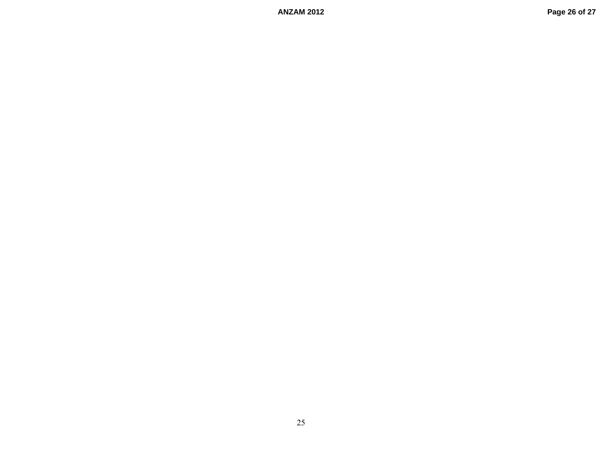**ANZAM 2012**